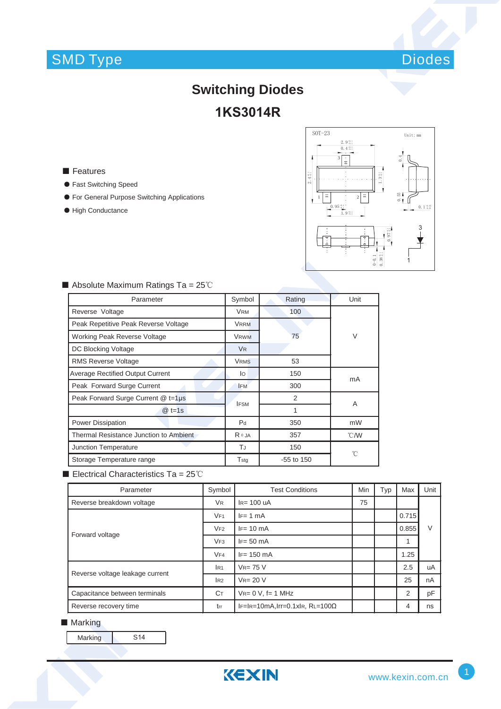## SMD Type



## **Switching Diodes 1KS3014R**

■ Features

- ƽ Fast Switching Speed
- ƽ For General Purpose Switching Applications
- High Conductance



| Parameter                               | Symbol         | Rating       | Unit          |  |
|-----------------------------------------|----------------|--------------|---------------|--|
| Reverse Voltage                         | <b>VRM</b>     | 100          |               |  |
| Peak Repetitive Peak Reverse Voltage    | <b>VRRM</b>    |              |               |  |
| Working Peak Reverse Voltage            | <b>VRWM</b>    | 75           | V             |  |
| DC Blocking Voltage                     | <b>VR</b>      |              |               |  |
| <b>RMS Reverse Voltage</b>              | <b>VRMS</b>    | 53           |               |  |
| <b>Average Rectified Output Current</b> | lo             | 150          | mA            |  |
| Peak Forward Surge Current              | <b>IFM</b>     | 300          |               |  |
| Peak Forward Surge Current @ t=1µs      | <b>IFSM</b>    | 2            | A             |  |
| $@t=1s$                                 |                | 1            |               |  |
| <b>Power Dissipation</b>                | P <sub>d</sub> | 350          | mW            |  |
| Thermal Resistance Junction to Ambient  | $R \theta$ JA  | 357          | $\degree$ C/W |  |
| TJ<br>Junction Temperature              |                | 150          |               |  |
| Storage Temperature range               | Tstg           | $-55$ to 150 | °C            |  |

### Absolute Maximum Ratings Ta =  $25^{\circ}$ C

Electrical Characteristics Ta =  $25^{\circ}$ C

| Parameter                       | Symbol               | <b>Test Conditions</b>                 | <b>Min</b> | Typ | Max   | Unit |
|---------------------------------|----------------------|----------------------------------------|------------|-----|-------|------|
| Reverse breakdown voltage       | <b>V<sub>R</sub></b> | $IR= 100$ uA                           |            |     |       |      |
| Forward voltage                 | VF1                  | $IF = 1 mA$                            |            |     | 0.715 | V    |
|                                 | VF2                  | $IF = 10 \text{ mA}$                   |            |     | 0.855 |      |
|                                 | VF3                  | $IF = 50 mA$                           |            |     | 1     |      |
|                                 | VF4                  | $IF = 150 \text{ mA}$                  |            |     | 1.25  |      |
| Reverse voltage leakage current | IR1                  | $V_{R} = 75 V$                         |            |     | 2.5   | uA   |
|                                 | IR2                  | $V_{R} = 20 V$                         |            |     | 25    | nA   |
| Capacitance between terminals   | Cт                   | $V_{R} = 0 V$ , f= 1 MHz               |            |     | 2     | pF   |
| Reverse recovery time           | trr                  | $IF=IR=10mA, Irr=0.1xIR, RL=100\Omega$ |            |     | 4     | ns   |

#### ■ Marking

Marking S14